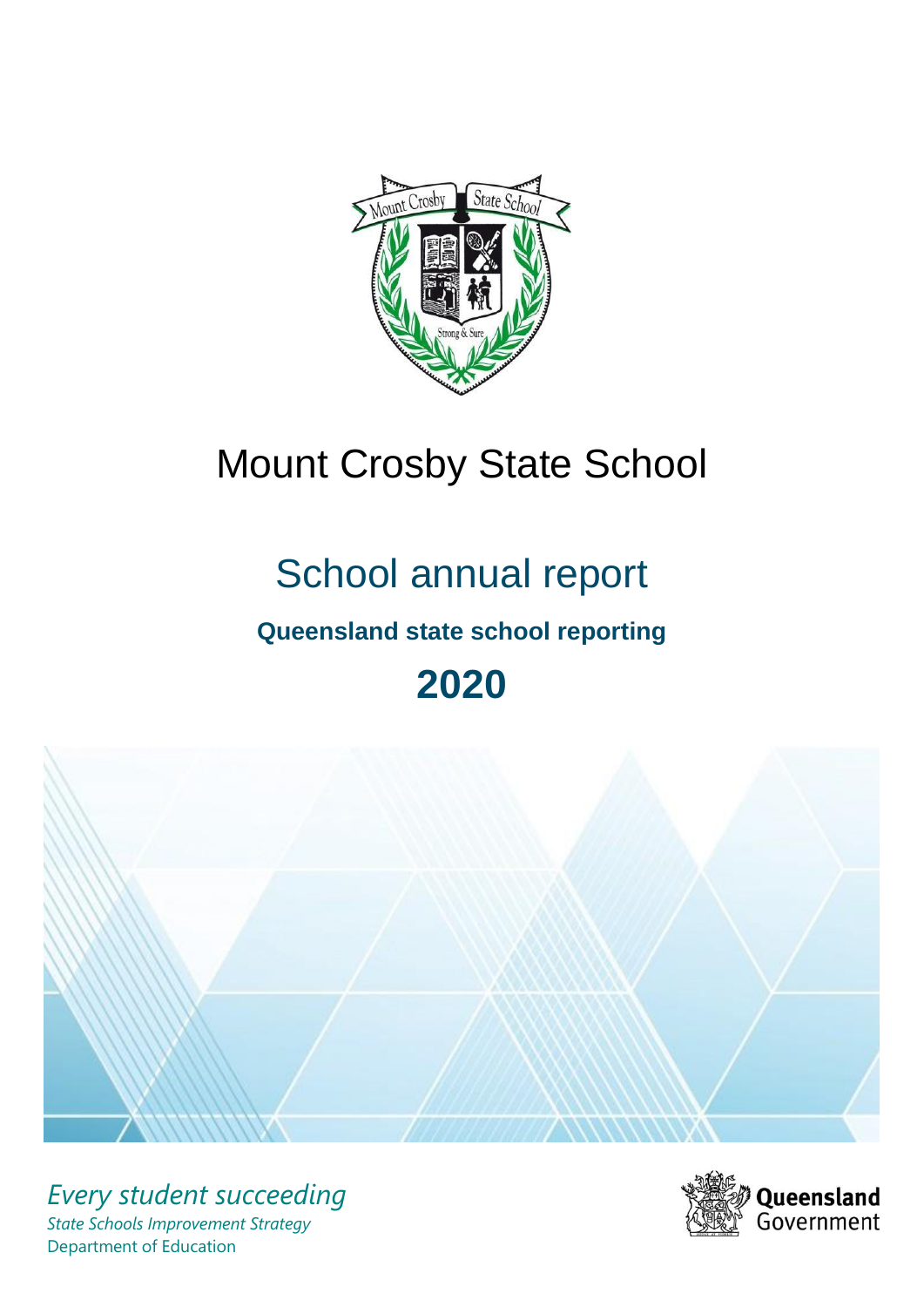

# Mount Crosby State School

# School annual report

# **Queensland state school reporting**

# **2020**



*Every student succeeding State Schools Improvement Strategy* Department of Education

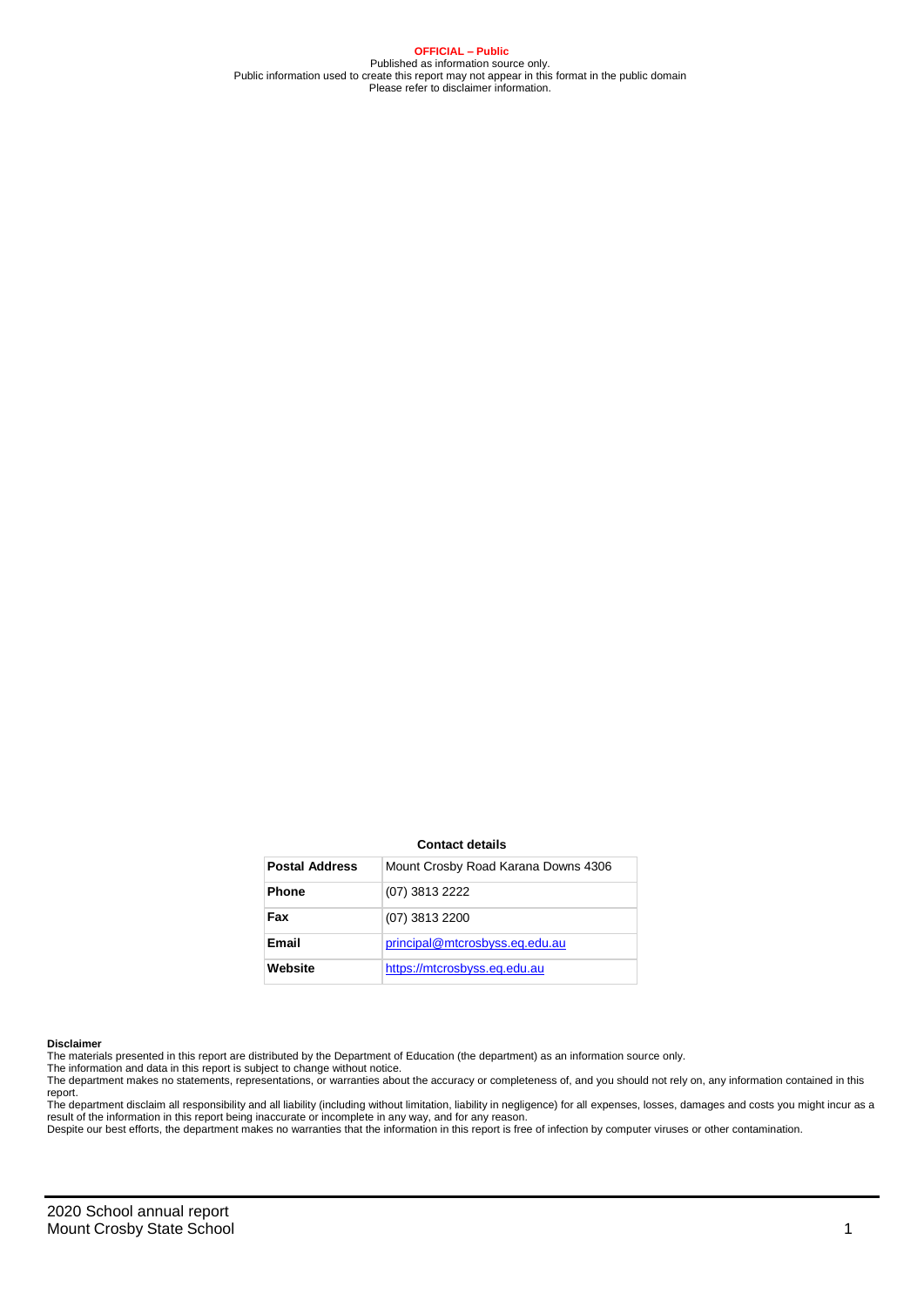**OFFICIAL – Public** Published as information source only. Public information used to create this report may not appear in this format in the public domain Please refer to disclaimer information.

#### **Contact details**

| <b>Postal Address</b> | Mount Crosby Road Karana Downs 4306 |
|-----------------------|-------------------------------------|
| <b>Phone</b>          | (07) 3813 2222                      |
| Fax                   | (07) 3813 2200                      |
| Email                 | principal@mtcrosbyss.eq.edu.au      |
| Website               | https://mtcrosbyss.eq.edu.au        |

#### **Disclaimer**

The materials presented in this report are distributed by the Department of Education (the department) as an information source only. The information and data in this report is subject to change without notice.

The department makes no statements, representations, or warranties about the accuracy or completeness of, and you should not rely on, any information contained in this

report.<br>The department disclaim all responsibility and all liability (including without limitation, liability in negligence) for all expenses, losses, damages and costs you might incur as a<br>result of the information in thi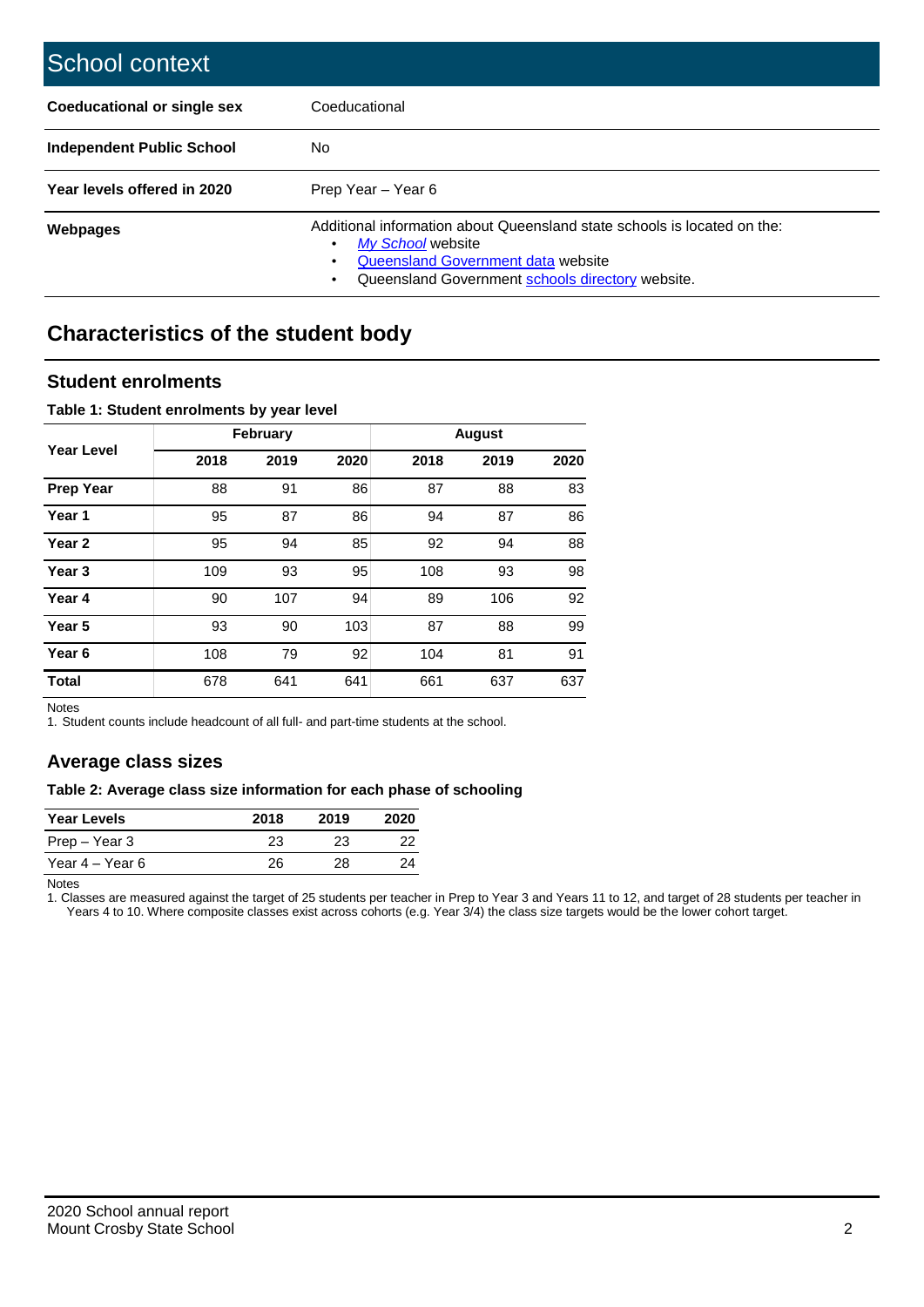| School context                     |                                                                                                                                                                                         |
|------------------------------------|-----------------------------------------------------------------------------------------------------------------------------------------------------------------------------------------|
| <b>Coeducational or single sex</b> | Coeducational                                                                                                                                                                           |
| <b>Independent Public School</b>   | No                                                                                                                                                                                      |
| Year levels offered in 2020        | Prep Year - Year 6                                                                                                                                                                      |
| <b>Webpages</b>                    | Additional information about Queensland state schools is located on the:<br>My School website<br>Queensland Government data website<br>Queensland Government schools directory website. |

# **Characteristics of the student body**

### **Student enrolments**

#### **Table 1: Student enrolments by year level**

|                   |      | <b>February</b> |      |      | <b>August</b> |      |
|-------------------|------|-----------------|------|------|---------------|------|
| <b>Year Level</b> | 2018 | 2019            | 2020 | 2018 | 2019          | 2020 |
| <b>Prep Year</b>  | 88   | 91              | 86   | 87   | 88            | 83   |
| Year 1            | 95   | 87              | 86   | 94   | 87            | 86   |
| Year <sub>2</sub> | 95   | 94              | 85   | 92   | 94            | 88   |
| Year <sub>3</sub> | 109  | 93              | 95   | 108  | 93            | 98   |
| Year 4            | 90   | 107             | 94   | 89   | 106           | 92   |
| Year 5            | 93   | 90              | 103  | 87   | 88            | 99   |
| Year <sub>6</sub> | 108  | 79              | 92   | 104  | 81            | 91   |
| <b>Total</b>      | 678  | 641             | 641  | 661  | 637           | 637  |

Notes

1. Student counts include headcount of all full- and part-time students at the school.

## **Average class sizes**

#### **Table 2: Average class size information for each phase of schooling**

| <b>Year Levels</b> | 2018 | 2019 | 2020 |
|--------------------|------|------|------|
| Prep – Year 3      | 23   | 23   | 22   |
| Year 4 – Year 6    | 26   | 28   | 24   |

Notes

1. Classes are measured against the target of 25 students per teacher in Prep to Year 3 and Years 11 to 12, and target of 28 students per teacher in Years 4 to 10. Where composite classes exist across cohorts (e.g. Year 3/4) the class size targets would be the lower cohort target.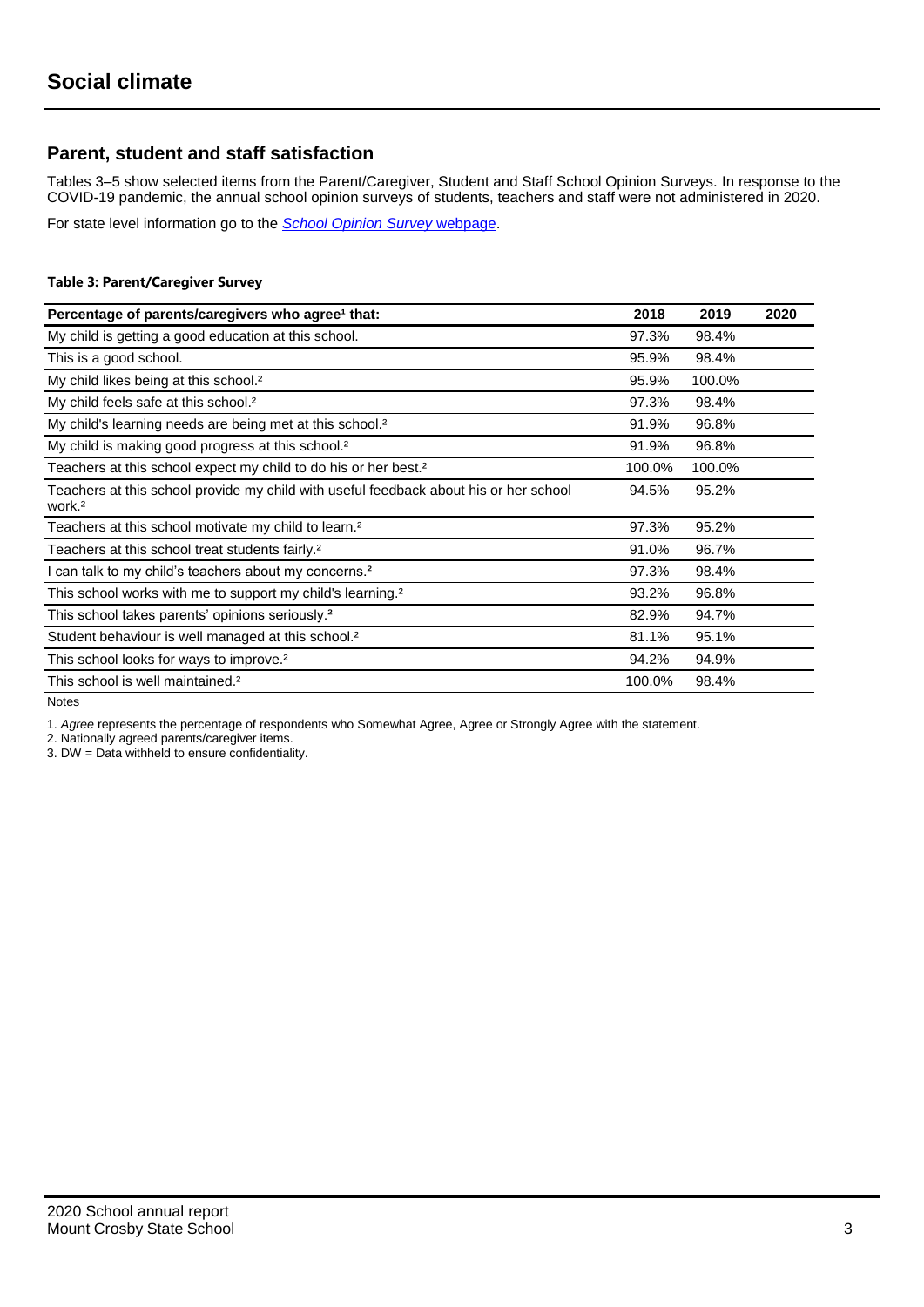## **Parent, student and staff satisfaction**

Tables 3–5 show selected items from the Parent/Caregiver, Student and Staff School Opinion Surveys. In response to the COVID-19 pandemic, the annual school opinion surveys of students, teachers and staff were not administered in 2020.

For state level information go to the *[School Opinion Survey](https://qed.qld.gov.au/publications/reports/statistics/schooling/schools/schoolopinionsurvey)* [webpage.](https://qed.qld.gov.au/publications/reports/statistics/schooling/schools/schoolopinionsurvey)

#### **Table 3: Parent/Caregiver Survey**

| Percentage of parents/caregivers who agree <sup>1</sup> that:                                               | 2018   | 2019   | 2020 |
|-------------------------------------------------------------------------------------------------------------|--------|--------|------|
| My child is getting a good education at this school.                                                        | 97.3%  | 98.4%  |      |
| This is a good school.                                                                                      | 95.9%  | 98.4%  |      |
| My child likes being at this school. <sup>2</sup>                                                           | 95.9%  | 100.0% |      |
| My child feels safe at this school. <sup>2</sup>                                                            | 97.3%  | 98.4%  |      |
| My child's learning needs are being met at this school. <sup>2</sup>                                        | 91.9%  | 96.8%  |      |
| My child is making good progress at this school. <sup>2</sup>                                               | 91.9%  | 96.8%  |      |
| Teachers at this school expect my child to do his or her best. <sup>2</sup>                                 | 100.0% | 100.0% |      |
| Teachers at this school provide my child with useful feedback about his or her school<br>work. <sup>2</sup> | 94.5%  | 95.2%  |      |
| Teachers at this school motivate my child to learn. <sup>2</sup>                                            | 97.3%  | 95.2%  |      |
| Teachers at this school treat students fairly. <sup>2</sup>                                                 | 91.0%  | 96.7%  |      |
| I can talk to my child's teachers about my concerns. <sup>2</sup>                                           | 97.3%  | 98.4%  |      |
| This school works with me to support my child's learning. <sup>2</sup>                                      | 93.2%  | 96.8%  |      |
| This school takes parents' opinions seriously. <sup>2</sup>                                                 | 82.9%  | 94.7%  |      |
| Student behaviour is well managed at this school. <sup>2</sup>                                              | 81.1%  | 95.1%  |      |
| This school looks for ways to improve. <sup>2</sup>                                                         | 94.2%  | 94.9%  |      |
| This school is well maintained. <sup>2</sup>                                                                | 100.0% | 98.4%  |      |

Notes

1. *Agree* represents the percentage of respondents who Somewhat Agree, Agree or Strongly Agree with the statement.

2. Nationally agreed parents/caregiver items.

3. DW = Data withheld to ensure confidentiality.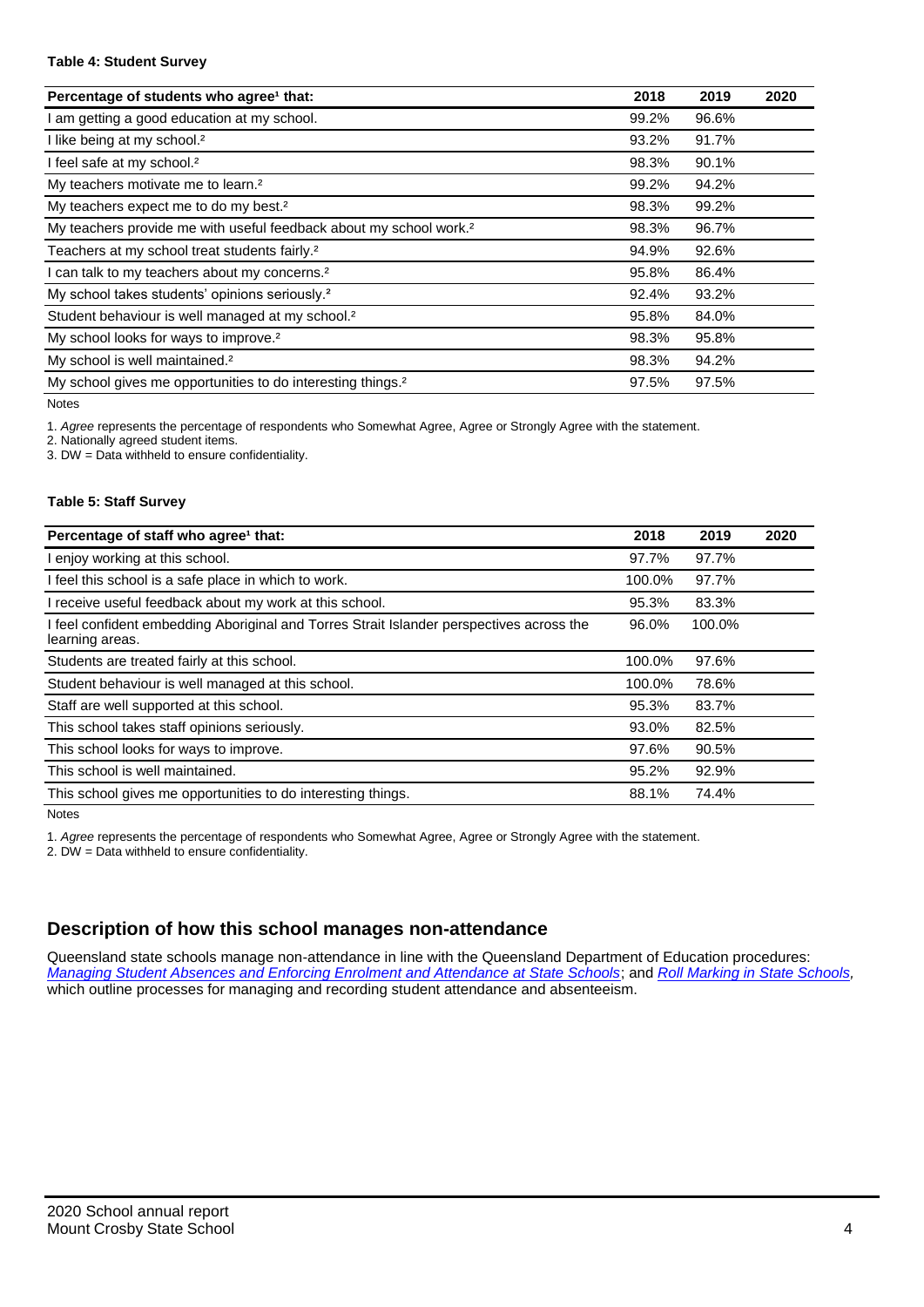#### **Table 4: Student Survey**

| Percentage of students who agree <sup>1</sup> that:                            | 2018  | 2019  | 2020 |
|--------------------------------------------------------------------------------|-------|-------|------|
| am getting a good education at my school.                                      | 99.2% | 96.6% |      |
| I like being at my school. <sup>2</sup>                                        | 93.2% | 91.7% |      |
| I feel safe at my school. <sup>2</sup>                                         | 98.3% | 90.1% |      |
| My teachers motivate me to learn. <sup>2</sup>                                 | 99.2% | 94.2% |      |
| My teachers expect me to do my best. <sup>2</sup>                              | 98.3% | 99.2% |      |
| My teachers provide me with useful feedback about my school work. <sup>2</sup> | 98.3% | 96.7% |      |
| Teachers at my school treat students fairly. <sup>2</sup>                      | 94.9% | 92.6% |      |
| can talk to my teachers about my concerns. <sup>2</sup>                        | 95.8% | 86.4% |      |
| My school takes students' opinions seriously. <sup>2</sup>                     | 92.4% | 93.2% |      |
| Student behaviour is well managed at my school. <sup>2</sup>                   | 95.8% | 84.0% |      |
| My school looks for ways to improve. <sup>2</sup>                              | 98.3% | 95.8% |      |
| My school is well maintained. <sup>2</sup>                                     | 98.3% | 94.2% |      |
| My school gives me opportunities to do interesting things. <sup>2</sup>        | 97.5% | 97.5% |      |

Notes

1. *Agree* represents the percentage of respondents who Somewhat Agree, Agree or Strongly Agree with the statement.

2. Nationally agreed student items.

3. DW = Data withheld to ensure confidentiality.

#### **Table 5: Staff Survey**

| Percentage of staff who agree <sup>1</sup> that:                                                            | 2018   | 2019   | 2020 |
|-------------------------------------------------------------------------------------------------------------|--------|--------|------|
| I enjoy working at this school.                                                                             | 97.7%  | 97.7%  |      |
| I feel this school is a safe place in which to work.                                                        | 100.0% | 97.7%  |      |
| I receive useful feedback about my work at this school.                                                     | 95.3%  | 83.3%  |      |
| I feel confident embedding Aboriginal and Torres Strait Islander perspectives across the<br>learning areas. | 96.0%  | 100.0% |      |
| Students are treated fairly at this school.                                                                 | 100.0% | 97.6%  |      |
| Student behaviour is well managed at this school.                                                           | 100.0% | 78.6%  |      |
| Staff are well supported at this school.                                                                    | 95.3%  | 83.7%  |      |
| This school takes staff opinions seriously.                                                                 | 93.0%  | 82.5%  |      |
| This school looks for ways to improve.                                                                      | 97.6%  | 90.5%  |      |
| This school is well maintained.                                                                             | 95.2%  | 92.9%  |      |
| This school gives me opportunities to do interesting things.                                                | 88.1%  | 74.4%  |      |

Notes

1. *Agree* represents the percentage of respondents who Somewhat Agree, Agree or Strongly Agree with the statement.

2. DW = Data withheld to ensure confidentiality.

## **Description of how this school manages non-attendance**

Queensland state schools manage non-attendance in line with the Queensland Department of Education procedures: *[Managing Student Absences and Enforcing Enrolment and Attendance at State Schools](https://ppr.qed.qld.gov.au/pp/managing-student-absences-and-enforcing-enrolment-and-attendance-at-state-schools-procedure)*; and *[Roll Marking in State Schools,](https://ppr.qed.qld.gov.au/pp/roll-marking-in-state-schools-procedure)* which outline processes for managing and recording student attendance and absenteeism.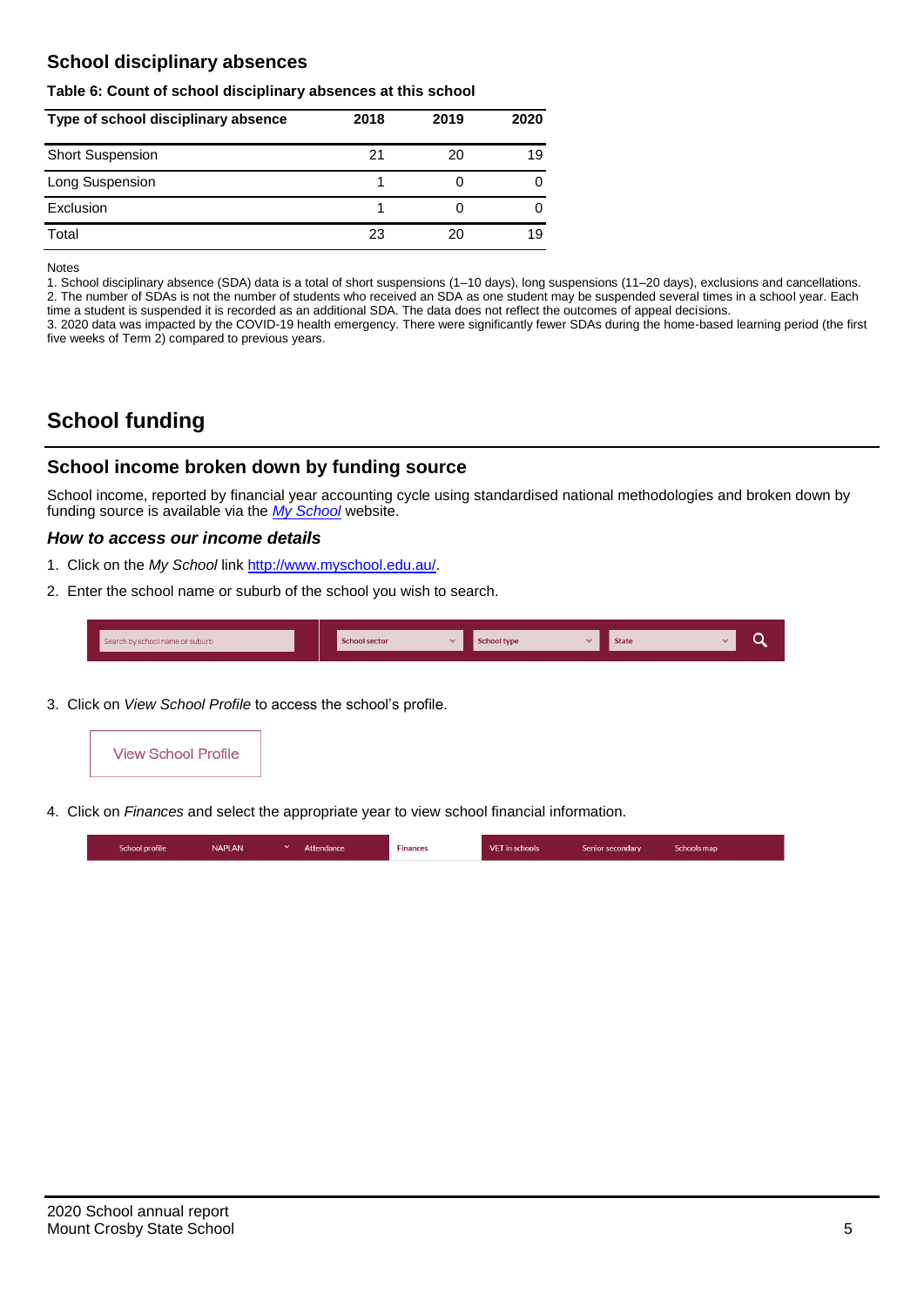## **School disciplinary absences**

#### **Table 6: Count of school disciplinary absences at this school**

| Type of school disciplinary absence | 2018 | 2019 | 2020 |
|-------------------------------------|------|------|------|
| <b>Short Suspension</b>             | 21   | 20   | 19   |
| Long Suspension                     |      |      |      |
| Exclusion                           |      |      |      |
| Total                               | 23   | 20   | 19   |

Notes

1. School disciplinary absence (SDA) data is a total of short suspensions (1–10 days), long suspensions (11–20 days), exclusions and cancellations. 2. The number of SDAs is not the number of students who received an SDA as one student may be suspended several times in a school year. Each time a student is suspended it is recorded as an additional SDA. The data does not reflect the outcomes of appeal decisions.

3. 2020 data was impacted by the COVID-19 health emergency. There were significantly fewer SDAs during the home-based learning period (the first five weeks of Term 2) compared to previous years.

# **School funding**

## **School income broken down by funding source**

School income, reported by financial year accounting cycle using standardised national methodologies and broken down by funding source is available via the *[My School](http://www.myschool.edu.au/)* website.

#### *How to access our income details*

- 1. Click on the *My School* link [http://www.myschool.edu.au/.](http://www.myschool.edu.au/)
- 2. Enter the school name or suburb of the school you wish to search.

| Search by school name or suburb | <b>School sector</b> | <b>School type</b> | <b>State</b> | ∽ |
|---------------------------------|----------------------|--------------------|--------------|---|
|                                 |                      |                    |              |   |

3. Click on *View School Profile* to access the school's profile.



4. Click on *Finances* and select the appropriate year to view school financial information.

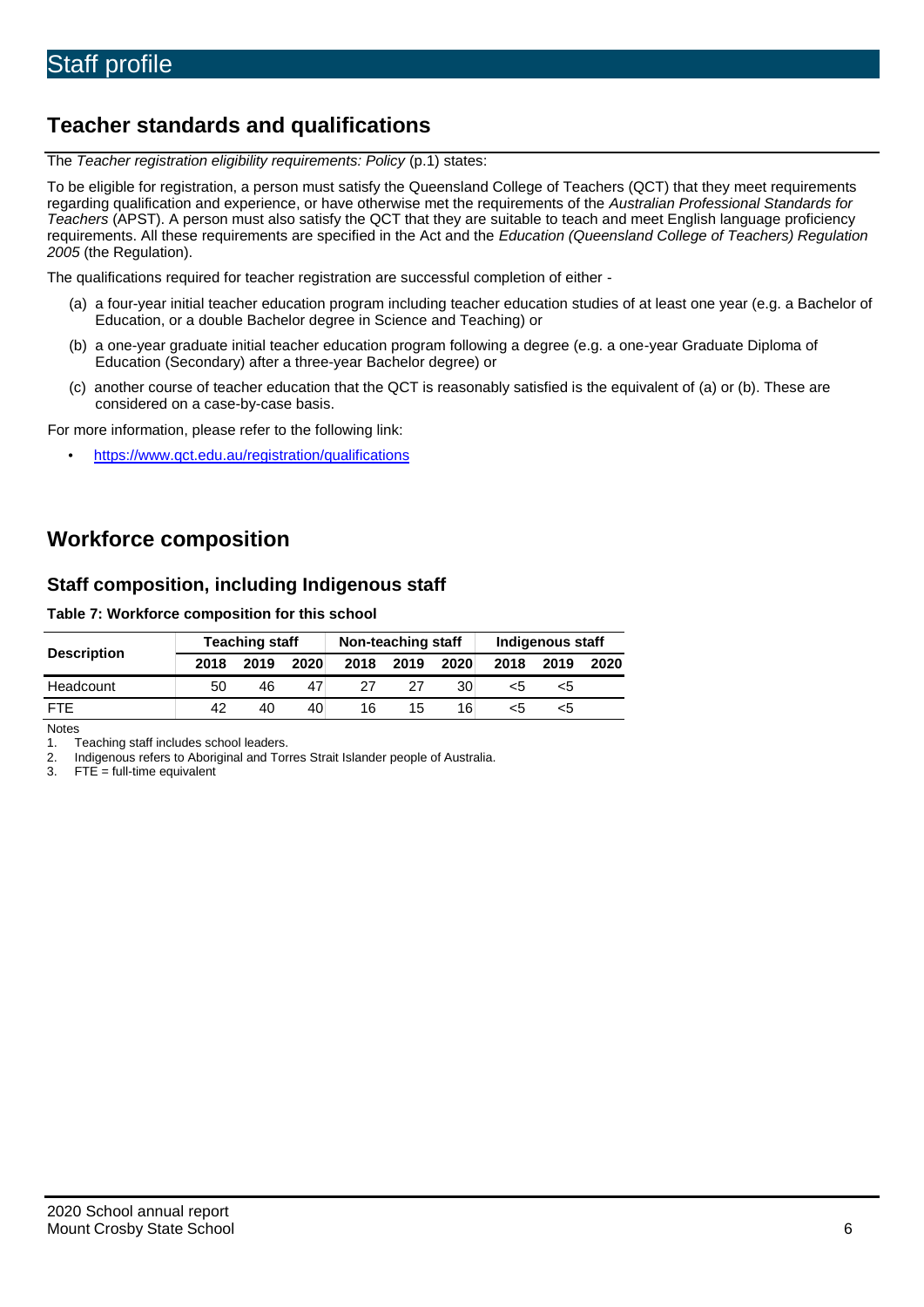# **Teacher standards and qualifications**

The *Teacher registration eligibility requirements: Policy* (p.1) states:

To be eligible for registration, a person must satisfy the Queensland College of Teachers (QCT) that they meet requirements regarding qualification and experience, or have otherwise met the requirements of the *Australian Professional Standards for Teachers* (APST). A person must also satisfy the QCT that they are suitable to teach and meet English language proficiency requirements. All these requirements are specified in the Act and the *Education (Queensland College of Teachers) Regulation 2005* (the Regulation).

The qualifications required for teacher registration are successful completion of either -

- (a) a four-year initial teacher education program including teacher education studies of at least one year (e.g. a Bachelor of Education, or a double Bachelor degree in Science and Teaching) or
- (b) a one-year graduate initial teacher education program following a degree (e.g. a one-year Graduate Diploma of Education (Secondary) after a three-year Bachelor degree) or
- (c) another course of teacher education that the QCT is reasonably satisfied is the equivalent of (a) or (b). These are considered on a case-by-case basis.

For more information, please refer to the following link:

• <https://www.qct.edu.au/registration/qualifications>

## **Workforce composition**

### **Staff composition, including Indigenous staff**

#### **Table 7: Workforce composition for this school**

| <b>Description</b> | <b>Teaching staff</b> |      |      | Non-teaching staff |      |      | Indigenous staff |      |      |
|--------------------|-----------------------|------|------|--------------------|------|------|------------------|------|------|
|                    | 2018                  | 2019 | 2020 | 2018               | 2019 | 2020 | 2018             | 2019 | 2020 |
| Headcount          | 50                    | 46   |      | 27                 | 27   | 30   | <5               | <5   |      |
| <b>FTF</b>         | 42                    | 40   | 40   | 16                 | 15   | 16   | ה>               | ה>   |      |

Notes

1. Teaching staff includes school leaders.<br>2. Indigenous refers to Aboriginal and Tor

2. Indigenous refers to Aboriginal and Torres Strait Islander people of Australia.<br>3. FTE = full-time equivalent

 $FTE = full-time equivalent$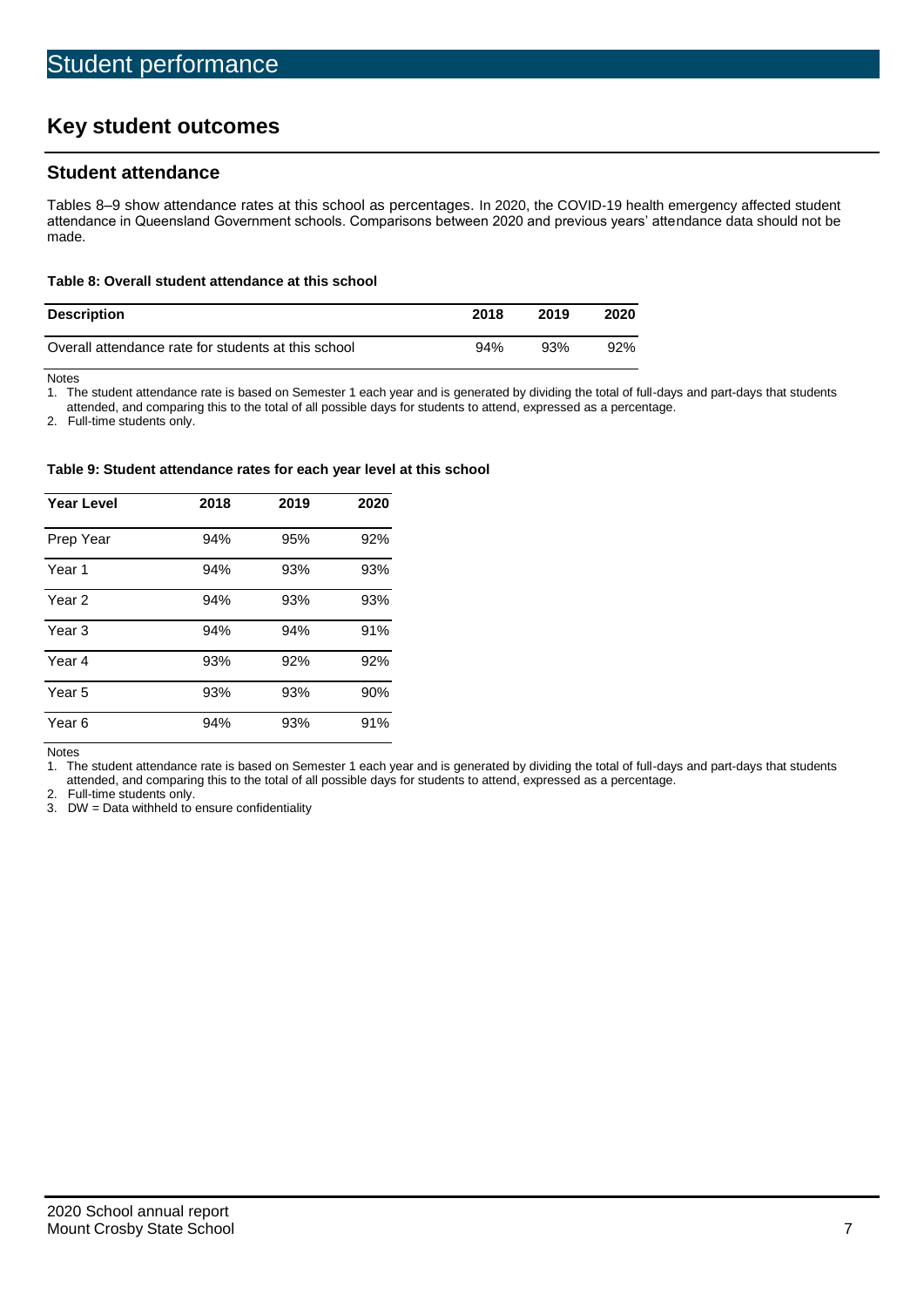# **Key student outcomes**

## **Student attendance**

Tables 8–9 show attendance rates at this school as percentages. In 2020, the COVID-19 health emergency affected student attendance in Queensland Government schools. Comparisons between 2020 and previous years' attendance data should not be made.

#### **Table 8: Overall student attendance at this school**

| <b>Description</b>                                  | 2018 | 2019 | 2020   |
|-----------------------------------------------------|------|------|--------|
| Overall attendance rate for students at this school | 94%  | 93%  | $92\%$ |

Notes

1. The student attendance rate is based on Semester 1 each year and is generated by dividing the total of full-days and part-days that students

attended, and comparing this to the total of all possible days for students to attend, expressed as a percentage.

2. Full-time students only.

#### **Table 9: Student attendance rates for each year level at this school**

| <b>Year Level</b> | 2018 | 2019 | 2020 |
|-------------------|------|------|------|
| Prep Year         | 94%  | 95%  | 92%  |
| Year <sub>1</sub> | 94%  | 93%  | 93%  |
| Year 2            | 94%  | 93%  | 93%  |
| Year <sub>3</sub> | 94%  | 94%  | 91%  |
| Year 4            | 93%  | 92%  | 92%  |
| Year 5            | 93%  | 93%  | 90%  |
| Year <sub>6</sub> | 94%  | 93%  | 91%  |

Notes

1. The student attendance rate is based on Semester 1 each year and is generated by dividing the total of full-days and part-days that students attended, and comparing this to the total of all possible days for students to attend, expressed as a percentage.

2. Full-time students only.<br>3. DW = Data withheld to

 $DW = Data$  withheld to ensure confidentiality